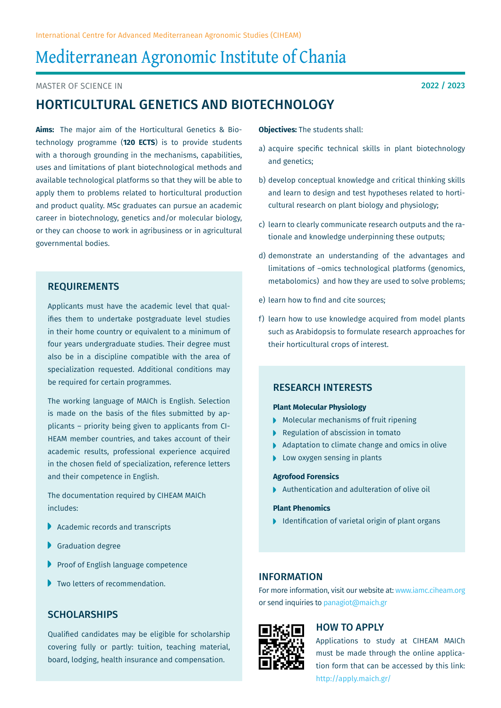# Mediterranean Agronomic Institute of Chania

Master of Science in

## Horticultural Genetics and Biotechnology

**Aims:** The major aim of the Horticultural Genetics & Biotechnology programme (**120 ECTS**) is to provide students with a thorough grounding in the mechanisms, capabilities, uses and limitations of plant biotechnological methods and available technological platforms so that they will be able to apply them to problems related to horticultural production and product quality. MSc graduates can pursue an academic career in biotechnology, genetics and/or molecular biology, or they can choose to work in agribusiness or in agricultural governmental bodies.

## **REQUIREMENTS**

Applicants must have the academic level that qualifies them to undertake postgraduate level studies in their home country or equivalent to a minimum of four years undergraduate studies. Their degree must also be in a discipline compatible with the area of specialization requested. Additional conditions may be required for certain programmes.

The working language of MAICh is English. Selection is made on the basis of the files submitted by applicants – priority being given to applicants from CI-HEAM member countries, and takes account of their academic results, professional experience acquired in the chosen field of specialization, reference letters and their competence in English.

The documentation required by CIHEAM MAICh includes:

- Academic records and transcripts
- Graduation degree
- Proof of English language competence
- Two letters of recommendation.

## SCHOLARSHIPS

Qualified candidates may be eligible for scholarship covering fully or partly: tuition, teaching material, board, lodging, health insurance and compensation.

**Objectives:** The students shall:

- a) acquire specific technical skills in plant biotechnology and genetics;
- b) develop conceptual knowledge and critical thinking skills and learn to design and test hypotheses related to horticultural research on plant biology and physiology;
- c) learn to clearly communicate research outputs and the rationale and knowledge underpinning these outputs;
- d) demonstrate an understanding of the advantages and limitations of –omics technological platforms (genomics, metabolomics) and how they are used to solve problems;
- e) learn how to find and cite sources;
- f) learn how to use knowledge acquired from model plants such as Arabidopsis to formulate research approaches for their horticultural crops of interest.

#### Research Interests

#### **Plant Molecular Physiology**

- **Molecular mechanisms of fruit ripening**
- Regulation of abscission in tomato
- Adaptation to climate change and omics in olive
- **Low oxygen sensing in plants**

#### **Agrofood Forensics**

▶ Authentication and adulteration of olive oil

#### **Plant Phenomics**

 $\blacktriangleright$  Identification of varietal origin of plant organs

## Information

For more information, visit our website at: www.iamc.ciheam.org or send inquiries to panagiot@maich.gr



## How to Apply

Applications to study at CIHEAM MAICh must be made through the online application form that can be accessed by this link: http://apply.maich.gr/